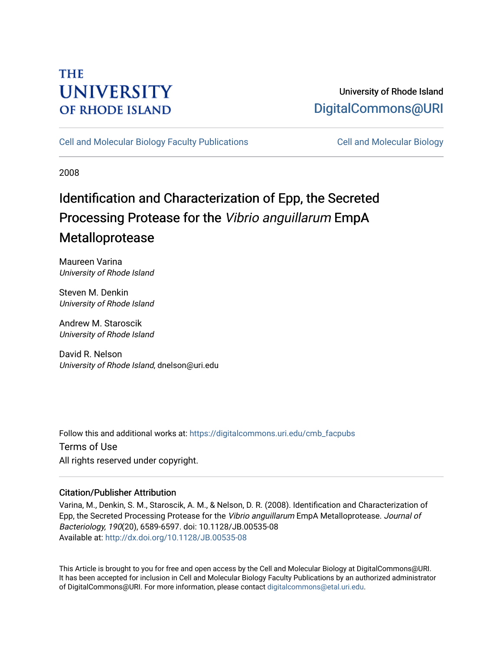## **THE UNIVERSITY OF RHODE ISLAND**

## University of Rhode Island [DigitalCommons@URI](https://digitalcommons.uri.edu/)

[Cell and Molecular Biology Faculty Publications](https://digitalcommons.uri.edu/cmb_facpubs) [Cell and Molecular Biology](https://digitalcommons.uri.edu/cmb) 

2008

# Identification and Characterization of Epp, the Secreted Processing Protease for the Vibrio anguillarum EmpA Metalloprotease

Maureen Varina University of Rhode Island

Steven M. Denkin University of Rhode Island

Andrew M. Staroscik University of Rhode Island

David R. Nelson University of Rhode Island, dnelson@uri.edu

Follow this and additional works at: [https://digitalcommons.uri.edu/cmb\\_facpubs](https://digitalcommons.uri.edu/cmb_facpubs?utm_source=digitalcommons.uri.edu%2Fcmb_facpubs%2F64&utm_medium=PDF&utm_campaign=PDFCoverPages)  Terms of Use All rights reserved under copyright.

### Citation/Publisher Attribution

Varina, M., Denkin, S. M., Staroscik, A. M., & Nelson, D. R. (2008). Identification and Characterization of Epp, the Secreted Processing Protease for the Vibrio anguillarum EmpA Metalloprotease. Journal of Bacteriology, 190(20), 6589-6597. doi: 10.1128/JB.00535-08 Available at:<http://dx.doi.org/10.1128/JB.00535-08>

This Article is brought to you for free and open access by the Cell and Molecular Biology at DigitalCommons@URI. It has been accepted for inclusion in Cell and Molecular Biology Faculty Publications by an authorized administrator of DigitalCommons@URI. For more information, please contact [digitalcommons@etal.uri.edu](mailto:digitalcommons@etal.uri.edu).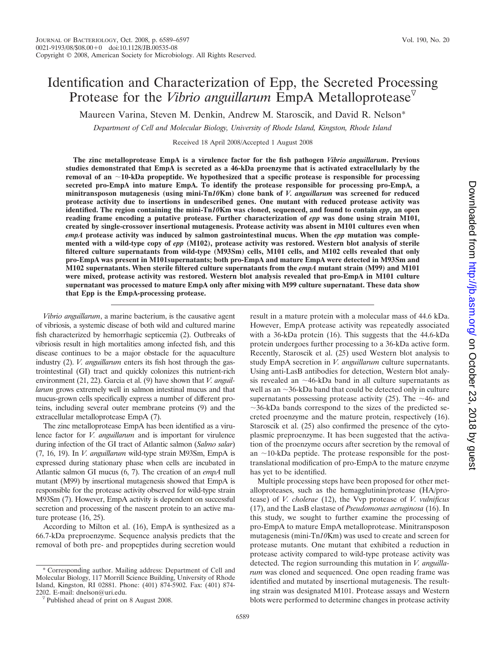### Identification and Characterization of Epp, the Secreted Processing Protease for the *Vibrio anguillarum* EmpA Metalloprotease

Maureen Varina, Steven M. Denkin, Andrew M. Staroscik, and David R. Nelson\*

*Department of Cell and Molecular Biology, University of Rhode Island, Kingston, Rhode Island*

Received 18 April 2008/Accepted 1 August 2008

**The zinc metalloprotease EmpA is a virulence factor for the fish pathogen** *Vibrio anguillarum***. Previous studies demonstrated that EmpA is secreted as a 46-kDa proenzyme that is activated extracellularly by the removal of an** -**10-kDa propeptide. We hypothesized that a specific protease is responsible for processing secreted pro-EmpA into mature EmpA. To identify the protease responsible for processing pro-EmpA, a minitransposon mutagenesis (using mini-Tn***10***Km) clone bank of** *V. anguillarum* **was screened for reduced protease activity due to insertions in undescribed genes. One mutant with reduced protease activity was identified. The region containing the mini-Tn***10***Km was cloned, sequenced, and found to contain** *epp***, an open reading frame encoding a putative protease. Further characterization of** *epp* **was done using strain M101, created by single-crossover insertional mutagenesis. Protease activity was absent in M101 cultures even when** *empA* **protease activity was induced by salmon gastrointestinal mucus. When the** *epp* **mutation was complemented with a wild-type copy of** *epp* **(M102), protease activity was restored. Western blot analysis of sterile filtered culture supernatants from wild-type (M93Sm) cells, M101 cells, and M102 cells revealed that only pro-EmpA was present in M101supernatants; both pro-EmpA and mature EmpA were detected in M93Sm and M102 supernatants. When sterile filtered culture supernatants from the** *empA* **mutant strain (M99) and M101 were mixed, protease activity was restored. Western blot analysis revealed that pro-EmpA in M101 culture supernatant was processed to mature EmpA only after mixing with M99 culture supernatant. These data show that Epp is the EmpA-processing protease.**

*Vibrio anguillarum*, a marine bacterium, is the causative agent of vibriosis, a systemic disease of both wild and cultured marine fish characterized by hemorrhagic septicemia (2). Outbreaks of vibriosis result in high mortalities among infected fish, and this disease continues to be a major obstacle for the aquaculture industry (2). *V. anguillarum* enters its fish host through the gastrointestinal (GI) tract and quickly colonizes this nutrient-rich environment (21, 22). Garcia et al. (9) have shown that *V. anguillarum* grows extremely well in salmon intestinal mucus and that mucus-grown cells specifically express a number of different proteins, including several outer membrane proteins (9) and the extracellular metalloprotease EmpA (7).

The zinc metalloprotease EmpA has been identified as a virulence factor for *V. anguillarum* and is important for virulence during infection of the GI tract of Atlantic salmon (*Salmo salar*) (7, 16, 19). In *V. anguillarum* wild-type strain M93Sm, EmpA is expressed during stationary phase when cells are incubated in Atlantic salmon GI mucus (6, 7). The creation of an *empA* null mutant (M99) by insertional mutagenesis showed that EmpA is responsible for the protease activity observed for wild-type strain M93Sm (7). However, EmpA activity is dependent on successful secretion and processing of the nascent protein to an active mature protease (16, 25).

According to Milton et al. (16), EmpA is synthesized as a 66.7-kDa preproenzyme. Sequence analysis predicts that the removal of both pre- and propeptides during secretion would

\* Corresponding author. Mailing address: Department of Cell and Molecular Biology, 117 Morrill Science Building, University of Rhode Island, Kingston, RI 02881. Phone: (401) 874-5902. Fax: (401) 874result in a mature protein with a molecular mass of 44.6 kDa. However, EmpA protease activity was repeatedly associated with a 36-kDa protein (16). This suggests that the 44.6-kDa protein undergoes further processing to a 36-kDa active form. Recently, Staroscik et al. (25) used Western blot analysis to study EmpA secretion in *V. anguillarum* culture supernatants. Using anti-LasB antibodies for detection, Western blot analysis revealed an  $\sim$ 46-kDa band in all culture supernatants as well as an  $\sim$ 36-kDa band that could be detected only in culture supernatants possessing protease activity  $(25)$ . The  $\sim$ 46- and  $\sim$ 36-kDa bands correspond to the sizes of the predicted secreted proenzyme and the mature protein, respectively (16). Staroscik et al. (25) also confirmed the presence of the cytoplasmic preproenzyme. It has been suggested that the activation of the proenzyme occurs after secretion by the removal of an  $\sim$ 10-kDa peptide. The protease responsible for the posttranslational modification of pro-EmpA to the mature enzyme has yet to be identified.

Multiple processing steps have been proposed for other metalloproteases, such as the hemagglutinin/protease (HA/protease) of *V. cholerae* (12), the Vvp protease of *V. vulnificus* (17), and the LasB elastase of *Pseudomonas aeruginosa* (16). In this study, we sought to further examine the processing of pro-EmpA to mature EmpA metalloprotease. Minitransposon mutagenesis (mini-Tn*10*Km) was used to create and screen for protease mutants. One mutant that exhibited a reduction in protease activity compared to wild-type protease activity was detected. The region surrounding this mutation in *V. anguillarum* was cloned and sequenced. One open reading frame was identified and mutated by insertional mutagenesis. The resulting strain was designated M101. Protease assays and Western blots were performed to determine changes in protease activity

6589

 $\sqrt[p]{}$  Published ahead of print on 8 August 2008.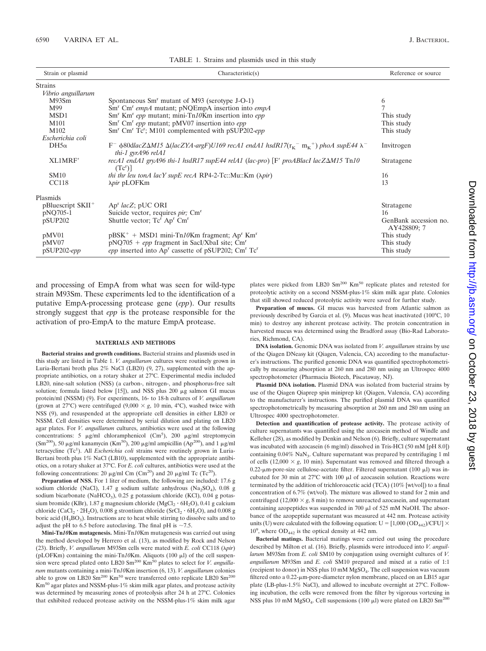| Strain or plasmid             | Characteristic(s)                                                                                                                                                  | Reference or source                  |  |
|-------------------------------|--------------------------------------------------------------------------------------------------------------------------------------------------------------------|--------------------------------------|--|
| <b>Strains</b>                |                                                                                                                                                                    |                                      |  |
| Vibrio anguillarum            |                                                                                                                                                                    |                                      |  |
| M93Sm                         | Spontaneous Sm <sup>r</sup> mutant of M93 (serotype J-O-1)                                                                                                         | 6                                    |  |
| M99                           | $Smr$ Cm <sup>r</sup> empA mutant; pNQEmpA insertion into empA                                                                                                     |                                      |  |
| MSD1                          | Sm <sup>r</sup> Km <sup>r</sup> epp mutant; mini-Tn10Km insertion into epp                                                                                         | This study                           |  |
| M101                          | $Smr$ Cm <sup>r</sup> epp mutant; pMV07 insertion into epp                                                                                                         | This study                           |  |
| M102                          | Sm <sup>r</sup> Cm <sup>r</sup> Tc <sup>r</sup> ; M101 complemented with pSUP202-epp                                                                               | This study                           |  |
| Escherichia coli              |                                                                                                                                                                    |                                      |  |
| $DH5\alpha$                   | $F^ \&$ 80dlacZ $\Delta M$ 15 $\&$ (lacZYA-argF)U169 recA1 endA1 hsdR17( $r_K^-$ m <sub>K</sub> <sup>+</sup> ) phoA supE44 $\lambda^-$<br>thi-1 gyr $A96$ rel $A1$ | Invitrogen                           |  |
| XL1MRF                        | recA1 endA1 gryA96 thi-1 hsdR17 supE44 relA1 (lac-pro) [F' proABlac1 lacZ $\Delta M$ 15 Tn10<br>$(Tc^r)$                                                           | Stratagene                           |  |
| <b>SM10</b>                   | <i>thi thr leu tonA lacY supE recA RP4-2-Tc::Mu::Km (<math>\pi</math>pir)</i>                                                                                      | 16                                   |  |
| <b>CC118</b>                  | <i><u>λpir</u></i> pLOFKm                                                                                                                                          | 13                                   |  |
| Plasmids                      |                                                                                                                                                                    |                                      |  |
| pBluescript SKII <sup>+</sup> | $Apr$ lacZ; pUC ORI                                                                                                                                                | Stratagene                           |  |
| pNQ705-1                      | Suicide vector, requires <i>pir</i> ; Cm <sup>r</sup>                                                                                                              | 16                                   |  |
| pSUP202                       | Shuttle vector; Tc <sup>r</sup> Ap <sup>r</sup> Cm <sup>r</sup>                                                                                                    | GenBank accession no.<br>AY428809; 7 |  |
| pMV01                         | $pBSK^+$ + MSD1 mini-Tn10Km fragment; Ap <sup>r</sup> Km <sup>r</sup>                                                                                              | This study                           |  |
| pMV07                         | $pNQ705 + epp$ fragment in SacI/XbaI site; Cm <sup>r</sup>                                                                                                         | This study                           |  |
| pSUP202-epp                   | epp inserted into Ap <sup>r</sup> cassette of pSUP202; Cm <sup>r</sup> Tc <sup>r</sup>                                                                             | This study                           |  |

and processing of EmpA from what was seen for wild-type strain M93Sm. These experiments led to the identification of a putative EmpA-processing protease gene (*epp*). Our results strongly suggest that *epp* is the protease responsible for the activation of pro-EmpA to the mature EmpA protease.

#### **MATERIALS AND METHODS**

**Bacterial strains and growth conditions.** Bacterial strains and plasmids used in this study are listed in Table 1. *V. anguillarum* cultures were routinely grown in Luria-Bertani broth plus 2% NaCl (LB20) (9, 27), supplemented with the appropriate antibiotics, on a rotary shaker at 27°C. Experimental media included LB20, nine-salt solution (NSS) (a carbon-, nitrogen-, and phosphorus-free salt solution; formula listed below  $[15]$ ), and NSS plus 200  $\mu$ g salmon GI mucus protein/ml (NSSM) (9). For experiments, 16- to 18-h cultures of *V. anguillarum* (grown at 27<sup>o</sup>C) were centrifuged (9,000  $\times$  g, 10 min, 4<sup>o</sup>C), washed twice with NSS (9), and resuspended at the appropriate cell densities in either LB20 or NSSM. Cell densities were determined by serial dilution and plating on LB20 agar plates. For *V. anguillarum* cultures, antibiotics were used at the following concentrations: 5  $\mu$ g/ml chloramphenicol (Cm<sup>5</sup>), 200  $\mu$ g/ml streptomycin (Sm<sup>200</sup>), 50 µg/ml kanamycin (Km<sup>50</sup>), 200 µg/ml ampicillin (Ap<sup>200</sup>), and 1 µg/ml tetracycline (Tc<sup>1</sup>). All *Escherichia coli* strains were routinely grown in Luria-Bertani broth plus 1% NaCl (LB10), supplemented with the appropriate antibiotics, on a rotary shaker at 37°C. For *E. coli* cultures, antibiotics were used at the following concentrations: 20  $\mu$ g/ml Cm (Cm<sup>20</sup>) and 20  $\mu$ g/ml Tc (Tc<sup>2</sup>).

**Preparation of NSS.** For 1 liter of medium, the following are included: 17.6 g sodium chloride (NaCl), 1.47 g sodium sulfate anhydrous (Na<sub>2</sub>SO<sub>4</sub>), 0.08 g sodium bicarbonate (NaHCO<sub>3</sub>), 0.25 g potassium chloride (KCl), 0.04 g potassium bromide (KBr), 1.87 g magnesium chloride (MgCl<sub>2</sub> · 6H<sub>2</sub>O), 0.41 g calcium chloride (CaCl<sub>2</sub>  $\cdot$  2H<sub>2</sub>O), 0.008 g strontium chloride (SrCl<sub>2</sub>  $\cdot$  6H<sub>2</sub>O), and 0.008 g boric acid  $(H_3BO_3)$ . Instructions are to heat while stirring to dissolve salts and to adjust the pH to 6.5 before autoclaving. The final pH is  $\sim$ 7.5.

**Mini-Tn***10***Km mutagenesis.** Mini-Tn*10*Km mutagenesis was carried out using the method developed by Herrero et al. (13), as modified by Rock and Nelson (23). Briefly, *V. anguillarum* M93Sm cells were mated with *E. coli* CC118 (*pir*) (pLOFKm) containing the mini-Tn $10$ Km. Aliquots (100  $\mu$ l) of the cell suspension were spread plated onto LB20 Sm<sup>200</sup> Km<sup>50</sup> plates to select for *V. anguillarum* mutants containing a mini-Tn*10*Km insertion (6, 13). *V. anguillarum* colonies able to grow on LB20  $\text{Sm}^{200}$  Km<sup>50</sup> were transferred onto replicate LB20  $\text{Sm}^{200}$  $\mathrm{Km}^{50}$  agar plates and NSSM-plus-1% skim milk agar plates, and protease activity was determined by measuring zones of proteolysis after 24 h at 27°C. Colonies that exhibited reduced protease activity on the NSSM-plus-1% skim milk agar

plates were picked from LB20 Sm<sup>200</sup> Km<sup>50</sup> replicate plates and retested for proteolytic activity on a second NSSM-plus-1% skim milk agar plate. Colonies that still showed reduced proteolytic activity were saved for further study.

**Preparation of mucus.** GI mucus was harvested from Atlantic salmon as previously described by Garcia et al. (9). Mucus was heat inactivated (100°C, 10 min) to destroy any inherent protease activity. The protein concentration in harvested mucus was determined using the Bradford assay (Bio-Rad Laboratories, Richmond, CA).

**DNA isolation.** Genomic DNA was isolated from *V. anguillarum* strains by use of the Qiagen DNeasy kit (Qiagen, Valencia, CA) according to the manufacturer's instructions. The purified genomic DNA was quantified spectrophotometrically by measuring absorption at 260 nm and 280 nm using an Ultrospec 4000 spectrophotometer (Pharmacia Biotech, Piscataway, NJ).

**Plasmid DNA isolation.** Plasmid DNA was isolated from bacterial strains by use of the Qiagen Qiaprep spin miniprep kit (Qiagen, Valencia, CA) according to the manufacturer's instructions. The purified plasmid DNA was quantified spectrophotometrically by measuring absorption at 260 nm and 280 nm using an Ultrospec 4000 spectrophotometer.

**Detection and quantification of protease activity.** The protease activity of culture supernatants was quantified using the azocasein method of Windle and Kelleher (28), as modified by Denkin and Nelson (6). Briefly, culture supernatant was incubated with azocasein (6 mg/ml) dissolved in Tris-HCl (50 mM [pH 8.0]) containing  $0.04\%$   $\mathrm{NaN}_3$  . Culture supernatant was prepared by centrifuging 1 ml of cells  $(12,000 \times g, 10 \text{ min})$ . Supernatant was removed and filtered through a  $0.22$ - $\mu$ m-pore-size cellulose-acetate filter. Filtered supernatant (100  $\mu$ l) was incubated for 30 min at  $27^{\circ}$ C with 100  $\mu$ l of azocasein solution. Reactions were terminated by the addition of trichloroacetic acid (TCA) (10% [wt/vol]) to a final concentration of 6.7% (wt/vol). The mixture was allowed to stand for 2 min and centrifuged (12,000  $\times$  g, 8 min) to remove unreacted azocasein, and supernatant containing azopeptides was suspended in 700  $\mu$ l of 525 mM NaOH. The absorbance of the azopeptide supernatant was measured at 442 nm. Protease activity units (U) were calculated with the following equation: U =  $[1,000 \text{ (OD}_{442})/\text{CFU}] \times$  $10^9$ , where  $OD_{442}$  is the optical density at 442 nm.

**Bacterial matings.** Bacterial matings were carried out using the procedure described by Milton et al. (16). Briefly, plasmids were introduced into *V. anguillarum* M93Sm from *E. coli* SM10 by conjugation using overnight cultures of *V. anguillarum* M93Sm and *E. coli* SM10 prepared and mixed at a ratio of 1:1 (recipient to donor) in NSS plus  $10 \text{ mM MgSO}_4$ . The cell suspension was vacuum filtered onto a  $0.22$ - $\mu$ m-pore-diameter nylon membrane, placed on an LB15 agar plate (LB-plus-1.5% NaCl), and allowed to incubate overnight at 27°C. Following incubation, the cells were removed from the filter by vigorous vortexing in NSS plus 10 mM MgSO<sub>4</sub>. Cell suspensions (100  $\mu$ l) were plated on LB20 Sm<sup>200</sup>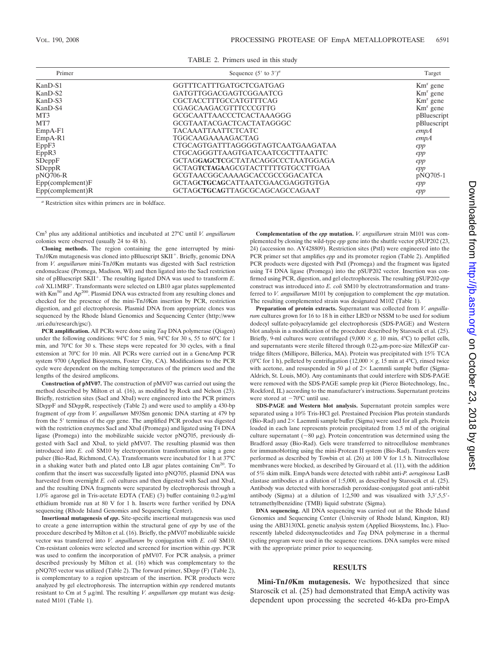|  |  |  | TABLE 2. Primers used in this study |  |  |  |  |
|--|--|--|-------------------------------------|--|--|--|--|
|--|--|--|-------------------------------------|--|--|--|--|

| Primer                 | Sequence $(5'$ to $3')^a$         | Target      |
|------------------------|-----------------------------------|-------------|
| KanD-S1                | GGTTTCATTTGATGCTCGATGAG           | $Kmr$ gene  |
| KanD-S2                | GATGTTGGACGAGTCGGAATCG            | $Kmr$ gene  |
| KanD-S3                | <b>CGCTACCTTTGCCATGTTTCAG</b>     | $Kmr$ gene  |
| KanD-S4                | <b>CGAGCAAGACGTTTCCCGTTG</b>      | $Kmr$ gene  |
| MT <sub>3</sub>        | GCGCAATTAACCCTCACTAAAGGG          | pBluescript |
| MT7                    | GCGTAATACGACTCACTATAGGGC          | pBluescript |
| $EmpA-F1$              | <b>TACAAATTAATTCTCATC</b>         | empA        |
| $EmpA-R1$              | <b>TGGCAAGAAAAGACTAG</b>          | empA        |
| EppF3                  | CTGCAGTGATTTAGGGGTAGTCAATGAAGATAA | epp         |
| EppR3                  | CTGCAGGGTTAAGTGATCAATCGCTTTAATTC  | epp         |
| SDeppF                 | GCTAGGAGCTCGCTATACAGGCCCTAATGGAGA | epp         |
| SDeppR                 | GCTAGTCTAGAAGCGTACTTTTTGTGCCTTGAA | epp         |
| pNQ706-R               | GCGTAACGGCAAAAGCACCGCCGGACATCA    | pNQ705-1    |
| $Epp$ (complement) $F$ | GCTAGCTGCAGCATTAATCGAACGAGGTGTGA  | epp         |
| $Epp$ (complement) $R$ | GCTAGCTGCAGTTAGCGCAGCAGCCAGAAT    | epp         |

*<sup>a</sup>* Restriction sites within primers are in boldface.

Cm<sup>5</sup> plus any additional antibiotics and incubated at 27°C until *V. anguillarum* colonies were observed (usually 24 to 48 h).

**Cloning methods.** The region containing the gene interrupted by mini-Tn $10$ Km mutagenesis was cloned into pBluescript SKII<sup>+</sup>. Briefly, genomic DNA from *V. anguillarum* mini-Tn*10*Km mutants was digested with SacI restriction endonuclease (Promega, Madison, WI) and then ligated into the SacI restriction site of pBluescript SKII<sup>+</sup>. The resulting ligated DNA was used to transform *E*. *coli* XL1MRF. Transformants were selected on LB10 agar plates supplemented with Km<sup>50</sup> and Ap<sup>200</sup>. Plasmid DNA was extracted from any resulting clones and checked for the presence of the mini-Tn*10*Km insertion by PCR, restriction digestion, and gel electrophoresis. Plasmid DNA from appropriate clones was sequenced by the Rhode Island Genomics and Sequencing Center (http://www .uri.edu/research/gsc/).

**PCR amplification.** All PCRs were done using *Taq* DNA polymerase (Qiagen) under the following conditions: 94°C for 5 min, 94°C for 30 s, 55 to 60°C for 1 min, and 70°C for 30 s. These steps were repeated for 30 cycles, with a final extension at 70°C for 10 min. All PCRs were carried out in a GeneAmp PCR system 9700 (Applied Biosystems, Foster City, CA). Modifications to the PCR cycle were dependent on the melting temperatures of the primers used and the lengths of the desired amplicons.

**Construction of pMV07.** The construction of pMV07 was carried out using the method described by Milton et al. (16), as modified by Rock and Nelson (23). Briefly, restriction sites (SacI and XbaI) were engineered into the PCR primers SD*epp*F and SD*epp*R, respectively (Table 2) and were used to amplify a 430-bp fragment of *epp* from *V. anguillarum* M93Sm genomic DNA starting at 479 bp from the 5' terminus of the *epp* gene. The amplified PCR product was digested with the restriction enzymes SacI and XbaI (Promega) and ligated using T4 DNA ligase (Promega) into the mobilizable suicide vector pNQ705, previously digested with SacI and XbaI, to yield pMV07. The resulting plasmid was then introduced into *E. coli* SM10 by electroporation transformation using a gene pulser (Bio-Rad, Richmond, CA). Transformants were incubated for 1 h at 37°C in a shaking water bath and plated onto LB agar plates containing Cm<sup>20</sup>. To confirm that the insert was successfully ligated into pNQ705, plasmid DNA was harvested from overnight *E. coli* cultures and then digested with SacI and XbaI, and the resulting DNA fragments were separated by electrophoresis through a 1.0% agarose gel in Tris-acetate EDTA (TAE) (3) buffer containing 0.2-µg/ml ethidium bromide run at 80 V for 1 h. Inserts were further verified by DNA sequencing (Rhode Island Genomics and Sequencing Center).

**Insertional mutagenesis of** *epp***.** Site-specific insertional mutagenesis was used to create a gene interruption within the structural gene of *epp* by use of the procedure described by Milton et al. (16). Briefly, the pMV07 mobilizable suicide vector was transferred into *V. anguillarum* by conjugation with *E. coli* SM10. Cm-resistant colonies were selected and screened for insertion within *epp*. PCR was used to confirm the incorporation of pMV07. For PCR analysis, a primer described previously by Milton et al. (16) which was complementary to the pNQ705 vector was utilized (Table 2). The forward primer, SD*epp* (F) (Table 2), is complementary to a region upstream of the insertion. PCR products were analyzed by gel electrophoresis. The interruption within *epp* rendered mutants resistant to Cm at 5 µg/ml. The resulting *V. anguillarum epp* mutant was designated M101 (Table 1).

**Complementation of the** *epp* **mutation.** *V. anguillarum* strain M101 was complemented by cloning the wild-type *epp* gene into the shuttle vector pSUP202 (23, 24) (accession no. AY428809). Restriction sites (PstI) were engineered into the PCR primer set that amplifies *epp* and its promoter region (Table 2). Amplified PCR products were digested with PstI (Promega) and the fragment was ligated using T4 DNA ligase (Promega) into the pSUP202 vector. Insertion was confirmed using PCR, digestion, and gel electrophoresis. The resulting pSUP202-*epp* construct was introduced into *E. coli* SM10 by electrotransformation and transferred to *V. anguillarum* M101 by conjugation to complement the *epp* mutation. The resulting complemented strain was designated M102 (Table 1).

**Preparation of protein extracts.** Supernatant was collected from *V. anguillarum* cultures grown for 16 to 18 h in either LB20 or NSSM to be used for sodium dodecyl sulfate-polyacrylamide gel electrophoresis (SDS-PAGE) and Western blot analysis in a modification of the procedure described by Staroscik et al. (25). Briefly, 9-ml cultures were centrifuged  $(9,000 \times g, 10 \text{ min}, 4^{\circ}\text{C})$  to pellet cells, and supernatants were sterile filtered through 0.22-µm-pore-size MillexGP cartridge filters (Millipore, Billerica, MA). Protein was precipitated with 15% TCA (0°C for 1 h), pelleted by centrifugation (12,000  $\times$  *g*, 15 min at 4°C), rinsed twice with acetone, and resuspended in 50  $\mu$ l of 2 $\times$  Laemmli sample buffer (Sigma-Aldrich, St. Louis, MO). Any contaminants that could interfere with SDS-PAGE were removed with the SDS-PAGE sample prep kit (Pierce Biotechnology, Inc., Rockford, IL) according to the manufacturer's instructions. Supernatant proteins were stored at  $-70^{\circ}$ C until use.

**SDS-PAGE and Western blot analysis.** Supernatant protein samples were separated using a 10% Tris-HCl gel. Prestained Precision Plus protein standards (Bio-Rad) and  $2\times$  Laemmli sample buffer (Sigma) were used for all gels. Protein loaded in each lane represents protein precipitated from 1.5 ml of the original culture supernatant ( $\sim 80 \mu$ g). Protein concentration was determined using the Bradford assay (Bio-Rad). Gels were transferred to nitrocellulose membranes for immunoblotting using the mini-Protean II system (Bio-Rad). Transfers were performed as described by Towbin et al. (26) at 100 V for 1.5 h. Nitrocellulose membranes were blocked, as described by Girouard et al. (11), with the addition of 5% skim milk. EmpA bands were detected with rabbit anti-*P. aeruginosa* LasB elastase antibodies at a dilution of 1:5,000, as described by Staroscik et al. (25). Antibody was detected with horseradish peroxidase-conjugated goat anti-rabbit antibody (Sigma) at a dilution of  $1:2,500$  and was visualized with  $3,3',5,5'$ tetramethylbenzidine (TMB) liquid substrate (Sigma).

**DNA sequencing.** All DNA sequencing was carried out at the Rhode Island Genomics and Sequencing Center (University of Rhode Island, Kingston, RI) using the ABI3130XL genetic analysis system (Applied Biosystems, Inc.). Fluorescently labeled dideoxynucleotides and *Taq* DNA polymerase in a thermal cycling program were used in the sequence reactions. DNA samples were mixed with the appropriate primer prior to sequencing.

#### **RESULTS**

**Mini-Tn***10***Km mutagenesis.** We hypothesized that since Staroscik et al. (25) had demonstrated that EmpA activity was dependent upon processing the secreted 46-kDa pro-EmpA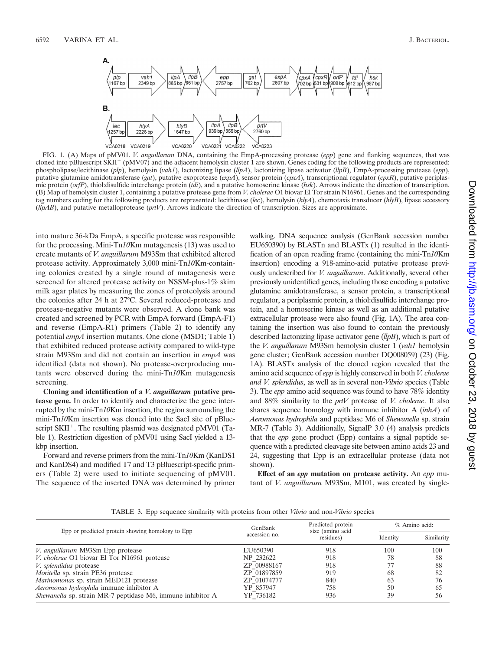

FIG. 1. (A) Maps of pMV01. *V. anguillarum* DNA, containing the EmpA-processing protease (*epp*) gene and flanking sequences, that was cloned into pBluescript SKII<sup>+</sup> (pMV07) and the adjacent hemolysin cluster 1 are shown. Genes coding for the following products are represented: phospholipase/lecithinase (*plp*), hemolysin (*vah1*), lactonizing lipase (*llpA*), lactonizing lipase activator (*llpB*), EmpA-processing protease (*epp*), putative glutamine amidotransferase (*gat*), putative exoprotease (*expA*), sensor protein (*cpxA*), transcriptional regulator (*cpxR*), putative periplasmic protein (*orfP*), thiol:disulfide interchange protein (*tdi*), and a putative homoserine kinase (*hsk*). Arrows indicate the direction of transcription. (B) Map of hemolysin cluster 1, containing a putative protease gene from *V. cholerae* O1 biovar El Tor strain N16961. Genes and the corresponding tag numbers coding for the following products are represented: lecithinase (*lec*), hemolysin (*hlyA*), chemotaxis transducer (*hlyB*), lipase accessory (*lipAB*), and putative metalloprotease (*prtV*). Arrows indicate the direction of transcription. Sizes are approximate.

into mature 36-kDa EmpA, a specific protease was responsible for the processing. Mini-Tn*10*Km mutagenesis (13) was used to create mutants of *V. anguillarum* M93Sm that exhibited altered protease activity. Approximately 3,000 mini-Tn*10*Km-containing colonies created by a single round of mutagenesis were screened for altered protease activity on NSSM-plus-1% skim milk agar plates by measuring the zones of proteolysis around the colonies after 24 h at 27°C. Several reduced-protease and protease-negative mutants were observed. A clone bank was created and screened by PCR with EmpA forward (EmpA-F1) and reverse (EmpA-R1) primers (Table 2) to identify any potential *empA* insertion mutants. One clone (MSD1; Table 1) that exhibited reduced protease activity compared to wild-type strain M93Sm and did not contain an insertion in *empA* was identified (data not shown). No protease-overproducing mutants were observed during the mini-Tn*10*Km mutagenesis screening.

**Cloning and identification of a** *V. anguillarum* **putative protease gene.** In order to identify and characterize the gene interrupted by the mini-Tn*10*Km insertion, the region surrounding the mini-Tn*10*Km insertion was cloned into the SacI site of pBluescript  $SKII^+$ . The resulting plasmid was designated pMV01 (Table 1). Restriction digestion of pMV01 using SacI yielded a 13 kbp insertion.

Forward and reverse primers from the mini-Tn*10*Km (KanDS1 and KanDS4) and modified T7 and T3 pBluescript-specific primers (Table 2) were used to initiate sequencing of pMV01. The sequence of the inserted DNA was determined by primer walking. DNA sequence analysis (GenBank accession number EU650390) by BLASTn and BLASTx (1) resulted in the identification of an open reading frame (containing the mini-Tn*10*Km insertion) encoding a 918-amino-acid putative protease previously undescribed for *V. anguillarum*. Additionally, several other previously unidentified genes, including those encoding a putative glutamine amidotransferase, a sensor protein, a transcriptional regulator, a periplasmic protein, a thiol:disulfide interchange protein, and a homoserine kinase as well as an additional putative extracellular protease were also found (Fig. 1A). The area containing the insertion was also found to contain the previously described lactonizing lipase activator gene (*llpB*), which is part of the *V. anguillarum* M93Sm hemolysin cluster 1 (*vah1* hemolysin gene cluster; GenBank accession number DQ008059) (23) (Fig. 1A). BLASTx analysis of the cloned region revealed that the amino acid sequence of *epp* is highly conserved in both *V. cholerae and V. splendidus*, as well as in several non-*Vibrio* species (Table 3). The *epp* amino acid sequence was found to have 78% identity and 88% similarity to the *prtV* protease of *V. cholerae*. It also shares sequence homology with immune inhibitor A (*inhA*) of *Aeromonas hydrophila* and peptidase M6 of *Shewanella* sp. strain MR-7 (Table 3). Additionally, SignalP 3.0 (4) analysis predicts that the *epp* gene product (Epp) contains a signal peptide sequence with a predicted cleavage site between amino acids 23 and 24, suggesting that Epp is an extracellular protease (data not shown).

**Effect of an** *epp* **mutation on protease activity.** An *epp* mutant of *V. anguillarum* M93Sm, M101, was created by single-

TABLE 3. Epp sequence similarity with proteins from other *Vibrio* and non-*Vibrio* species

|                                                             | GenBank       | Predicted protein<br>size (amino acid | $%$ Amino acid: |            |
|-------------------------------------------------------------|---------------|---------------------------------------|-----------------|------------|
| Epp or predicted protein showing homology to Epp            | accession no. | residues)                             | Identity        | Similarity |
| V. anguillarum M93Sm Epp protease                           | EU650390      | 918                                   | 100             | 100        |
| <i>V. cholerae</i> O1 biovar El Tor N16961 protease         | NP 232622     | 918                                   | 78              | 88         |
| <i>V. splendidus</i> protease                               | ZP 00988167   | 918                                   |                 | 88         |
| <i>Moritella</i> sp. strain PE36 protease                   | ZP 01897859   | 919                                   | 68              | 82         |
| Marinomonas sp. strain MED121 protease                      | ZP 01074777   | 840                                   | 63              | 76         |
| Aeromonas hydrophila immune inhibitor A                     | YP 857947     | 758                                   | 50              | 65         |
| Shewanella sp. strain MR-7 peptidase M6, immune inhibitor A | YP 736182     | 936                                   | 39              | 56         |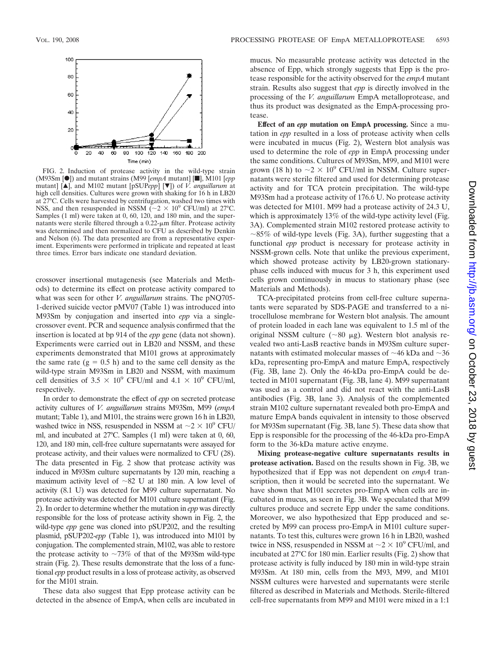

FIG. 2. Induction of protease activity in the wild-type strain (M93Sm [F]) and mutant strains (M99 [*empA* mutant] [f], M101 [*epp* mutant]  $[\triangle]$ , and M102 mutant  $[pSUPepp] [\triangledown]$  of *V. anguillarum* at high cell densities. Cultures were grown with shaking for 16 h in LB20 at 27°C. Cells were harvested by centrifugation, washed two times with NSS, and then resuspended in NSSM  $\sim 2 \times 10^9$  CFU/ml) at 27°C. Samples (1 ml) were taken at 0, 60, 120, and 180 min, and the supernatants were sterile filtered through a  $0.22$ - $\mu$ m filter. Protease activity was determined and then normalized to CFU as described by Denkin and Nelson (6). The data presented are from a representative experiment. Experiments were performed in triplicate and repeated at least three times. Error bars indicate one standard deviation.

crossover insertional mutagenesis (see Materials and Methods) to determine its effect on protease activity compared to what was seen for other *V. anguillarum* strains. The pNQ705- 1-derived suicide vector pMV07 (Table 1) was introduced into M93Sm by conjugation and inserted into *epp* via a singlecrossover event. PCR and sequence analysis confirmed that the insertion is located at bp 914 of the *epp* gene (data not shown). Experiments were carried out in LB20 and NSSM, and these experiments demonstrated that M101 grows at approximately the same rate  $(g = 0.5 h)$  and to the same cell density as the wild-type strain M93Sm in LB20 and NSSM, with maximum cell densities of 3.5  $\times$  10<sup>9</sup> CFU/ml and 4.1  $\times$  10<sup>9</sup> CFU/ml, respectively.

In order to demonstrate the effect of *epp* on secreted protease activity cultures of *V. anguillarum* strains M93Sm, M99 (*empA* mutant; Table 1), and M101, the strains were grown 16 h in LB20, washed twice in NSS, resuspended in NSSM at  $\sim$  2  $\times$  10<sup>9</sup> CFU/ ml, and incubated at 27°C. Samples (1 ml) were taken at 0, 60, 120, and 180 min, cell-free culture supernatants were assayed for protease activity, and their values were normalized to CFU (28). The data presented in Fig. 2 show that protease activity was induced in M93Sm culture supernatants by 120 min, reaching a maximum activity level of  $\sim 82$  U at 180 min. A low level of activity (8.1 U) was detected for M99 culture supernatant. No protease activity was detected for M101 culture supernatant (Fig. 2). In order to determine whether the mutation in *epp* was directly responsible for the loss of protease activity shown in Fig. 2, the wild-type *epp* gene was cloned into pSUP202, and the resulting plasmid, pSUP202-*epp* (Table 1), was introduced into M101 by conjugation. The complemented strain, M102, was able to restore the protease activity to  $\sim 73\%$  of that of the M93Sm wild-type strain (Fig. 2). These results demonstrate that the loss of a functional *epp* product results in a loss of protease activity, as observed for the M101 strain.

These data also suggest that Epp protease activity can be detected in the absence of EmpA, when cells are incubated in

mucus. No measurable protease activity was detected in the absence of Epp, which strongly suggests that Epp is the protease responsible for the activity observed for the *empA* mutant strain. Results also suggest that *epp* is directly involved in the processing of the *V. anguillarum* EmpA metalloprotease, and thus its product was designated as the EmpA-processing protease.

**Effect of an** *epp* **mutation on EmpA processing.** Since a mutation in *epp* resulted in a loss of protease activity when cells were incubated in mucus (Fig. 2), Western blot analysis was used to determine the role of *epp* in EmpA processing under the same conditions. Cultures of M93Sm, M99, and M101 were grown (18 h) to  $\sim$  2  $\times$  10<sup>9</sup> CFU/ml in NSSM. Culture supernatants were sterile filtered and used for determining protease activity and for TCA protein precipitation. The wild-type M93Sm had a protease activity of 176.6 U. No protease activity was detected for M101. M99 had a protease activity of 24.3 U, which is approximately 13% of the wild-type activity level (Fig. 3A). Complemented strain M102 restored protease activity to  $\sim$ 85% of wild-type levels (Fig. 3A), further suggesting that a functional *epp* product is necessary for protease activity in NSSM-grown cells. Note that unlike the previous experiment, which showed protease activity by LB20-grown stationaryphase cells induced with mucus for 3 h, this experiment used cells grown continuously in mucus to stationary phase (see Materials and Methods).

TCA-precipitated proteins from cell-free culture supernatants were separated by SDS-PAGE and transferred to a nitrocellulose membrane for Western blot analysis. The amount of protein loaded in each lane was equivalent to 1.5 ml of the original NSSM culture  $(\sim 80 \text{ µg})$ . Western blot analysis revealed two anti-LasB reactive bands in M93Sm culture supernatants with estimated molecular masses of  $\sim$ 46 kDa and  $\sim$ 36 kDa, representing pro-EmpA and mature EmpA, respectively (Fig. 3B, lane 2). Only the 46-kDa pro-EmpA could be detected in M101 supernatant (Fig. 3B, lane 4). M99 supernatant was used as a control and did not react with the anti-LasB antibodies (Fig. 3B, lane 3). Analysis of the complemented strain M102 culture supernatant revealed both pro-EmpA and mature EmpA bands equivalent in intensity to those observed for M93Sm supernatant (Fig. 3B, lane 5). These data show that Epp is responsible for the processing of the 46-kDa pro-EmpA form to the 36-kDa mature active enzyme.

**Mixing protease-negative culture supernatants results in protease activation.** Based on the results shown in Fig. 3B, we hypothesized that if Epp was not dependent on *empA* transcription, then it would be secreted into the supernatant. We have shown that M101 secretes pro-EmpA when cells are incubated in mucus, as seen in Fig. 3B. We speculated that M99 cultures produce and secrete Epp under the same conditions. Moreover, we also hypothesized that Epp produced and secreted by M99 can process pro-EmpA in M101 culture supernatants. To test this, cultures were grown 16 h in LB20, washed twice in NSS, resuspended in NSSM at  $\sim$  2  $\times$  10<sup>9</sup> CFU/ml, and incubated at 27°C for 180 min. Earlier results (Fig. 2) show that protease activity is fully induced by 180 min in wild-type strain M93Sm. At 180 min, cells from the M93, M99, and M101 NSSM cultures were harvested and supernatants were sterile filtered as described in Materials and Methods. Sterile-filtered cell-free supernatants from M99 and M101 were mixed in a 1:1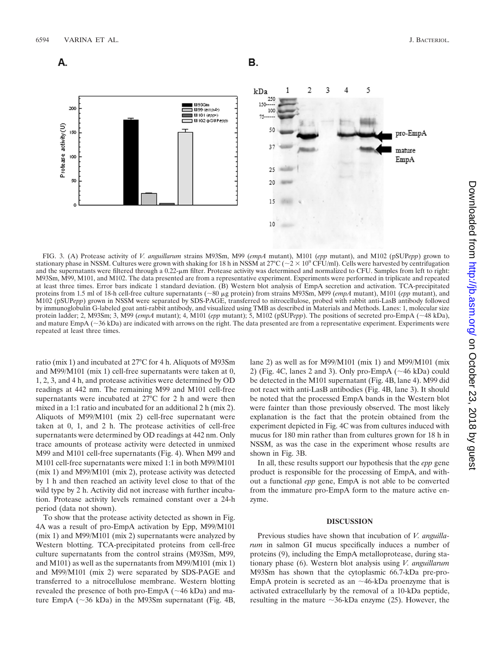

FIG. 3. (A) Protease activity of *V. anguillarum* strains M93Sm, M99 (*empA* mutant), M101 (*epp* mutant), and M102 (pSUP*epp*) grown to stationary phase in NSSM. Cultures were grown with shaking for 18 h in NSSM at 27°C ( $\sim$  2  $\times$  10° CFU/ml). Cells were harvested by centrifugation and the supernatants were filtered through a 0.22-µm filter. Protease activity was determined and normalized to CFU. Samples from left to right: M93Sm, M99, M101, and M102. The data presented are from a representative experiment. Experiments were performed in triplicate and repeated at least three times. Error bars indicate 1 standard deviation. (B) Western blot analysis of EmpA secretion and activation. TCA-precipitated proteins from 1.5 ml of 18-h cell-free culture supernatants (~80 µg protein) from strains M93Sm, M99 (*empA* mutant), M101 (*epp* mutant), and M102 (pSUP*epp*) grown in NSSM were separated by SDS-PAGE, transferred to nitrocellulose, probed with rabbit anti-LasB antibody followed by immunoglobulin G-labeled goat anti-rabbit antibody, and visualized using TMB as described in Materials and Methods. Lanes: 1, molecular size protein ladder; 2, M93Sm; 3, M99 (*empA* mutant); 4, M101 (*epp* mutant); 5, M102 (pSUP*epp*). The positions of secreted pro-EmpA (-48 kDa), and mature EmpA (-36 kDa) are indicated with arrows on the right. The data presented are from a representative experiment. Experiments were repeated at least three times.

ratio (mix 1) and incubated at 27°C for 4 h. Aliquots of M93Sm and M99/M101 (mix 1) cell-free supernatants were taken at 0, 1, 2, 3, and 4 h, and protease activities were determined by OD readings at 442 nm. The remaining M99 and M101 cell-free supernatants were incubated at 27°C for 2 h and were then mixed in a 1:1 ratio and incubated for an additional 2 h (mix 2). Aliquots of M99/M101 (mix 2) cell-free supernatant were taken at 0, 1, and 2 h. The protease activities of cell-free supernatants were determined by OD readings at 442 nm. Only trace amounts of protease activity were detected in unmixed M99 and M101 cell-free supernatants (Fig. 4). When M99 and M101 cell-free supernatants were mixed 1:1 in both M99/M101 (mix 1) and M99/M101 (mix 2), protease activity was detected by 1 h and then reached an activity level close to that of the wild type by 2 h. Activity did not increase with further incubation. Protease activity levels remained constant over a 24-h period (data not shown).

To show that the protease activity detected as shown in Fig. 4A was a result of pro-EmpA activation by Epp, M99/M101 (mix 1) and M99/M101 (mix 2) supernatants were analyzed by Western blotting. TCA-precipitated proteins from cell-free culture supernatants from the control strains (M93Sm, M99, and M101) as well as the supernatants from M99/M101 (mix 1) and M99/M101 (mix 2) were separated by SDS-PAGE and transferred to a nitrocellulose membrane. Western blotting revealed the presence of both pro- $EmpA$  ( $\sim$ 46 kDa) and mature EmpA  $(\sim]36$  kDa) in the M93Sm supernatant (Fig. 4B,

lane 2) as well as for M99/M101 (mix 1) and M99/M101 (mix 2) (Fig. 4C, lanes 2 and 3). Only pro-EmpA  $(\sim 46 \text{ kDa})$  could be detected in the M101 supernatant (Fig. 4B, lane 4). M99 did not react with anti-LasB antibodies (Fig. 4B, lane 3). It should be noted that the processed EmpA bands in the Western blot were fainter than those previously observed. The most likely explanation is the fact that the protein obtained from the experiment depicted in Fig. 4C was from cultures induced with mucus for 180 min rather than from cultures grown for 18 h in NSSM, as was the case in the experiment whose results are shown in Fig. 3B.

In all, these results support our hypothesis that the *epp* gene product is responsible for the processing of EmpA, and without a functional *epp* gene, EmpA is not able to be converted from the immature pro-EmpA form to the mature active enzyme.

#### **DISCUSSION**

Previous studies have shown that incubation of *V. anguillarum* in salmon GI mucus specifically induces a number of proteins (9), including the EmpA metalloprotease, during stationary phase (6). Western blot analysis using *V. anguillarum* M93Sm has shown that the cytoplasmic 66.7-kDa pre-pro-EmpA protein is secreted as an  $\sim$ 46-kDa proenzyme that is activated extracellularly by the removal of a 10-kDa peptide, resulting in the mature  $\sim$ 36-kDa enzyme (25). However, the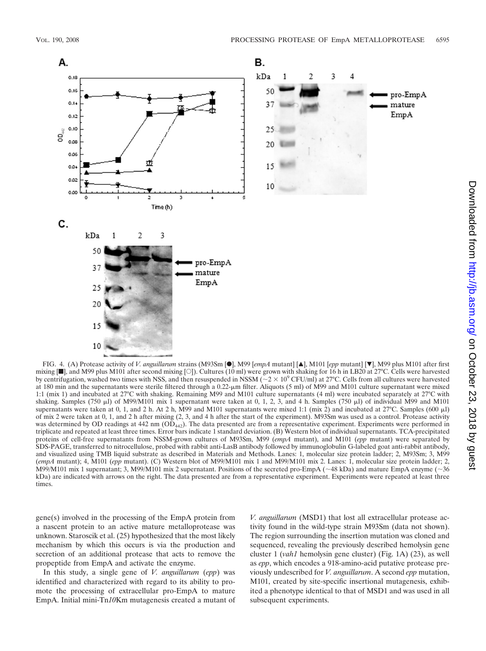

FIG. 4. (A) Protease activity of *V. anguillarum* strains (M93Sm [●], M99 [*empA* mutant] [▲], M101 [*epp* mutant] [▼], M99 plus M101 after first mixing  $[\blacksquare]$ , and M99 plus M101 after second mixing [O]). Cultures (10 ml) were grown with shaking for 16 h in LB20 at 27°C. Cells were harvested by centrifugation, washed two times with NSS, and then resuspended in NSSM ( $\sim$  2  $\times$  10<sup>9</sup> CFU/ml) at 27°C. Cells from all cultures were harvested at 180 min and the supernatants were sterile filtered through a 0.22-m filter. Aliquots (5 ml) of M99 and M101 culture supernatant were mixed 1:1 (mix 1) and incubated at 27°C with shaking. Remaining M99 and M101 culture supernatants (4 ml) were incubated separately at 27°C with shaking. Samples (750  $\mu$ l) of M99/M101 mix 1 supernatant were taken at 0, 1, 2, 3, and 4 h. Samples (750  $\mu$ l) of individual M99 and M101 supernatants were taken at 0, 1, and 2 h. At 2 h, M99 and M101 supernatants were mixed 1:1 (mix 2) and incubated at  $27^{\circ}$ C. Samples (600 µl) of mix 2 were taken at 0, 1, and 2 h after mixing (2, 3, and 4 h after the start of the experiment). M93Sm was used as a control. Protease activity was determined by OD readings at 442 nm (OD<sub>442</sub>). The data presented are from a representative experiment. Experiments were performed in triplicate and repeated at least three times. Error bars indicate 1 standard deviation. (B) Western blot of individual supernatants. TCA-precipitated proteins of cell-free supernatants from NSSM-grown cultures of M93Sm, M99 (*empA* mutant), and M101 (*epp* mutant) were separated by SDS-PAGE, transferred to nitrocellulose, probed with rabbit anti-LasB antibody followed by immunoglobulin G-labeled goat anti-rabbit antibody, and visualized using TMB liquid substrate as described in Materials and Methods. Lanes: 1, molecular size protein ladder; 2, M93Sm; 3, M99 (*empA* mutant); 4, M101 (*epp* mutant). (C) Western blot of M99/M101 mix 1 and M99/M101 mix 2. Lanes: 1, molecular size protein ladder; 2, M99/M101 mix 1 supernatant; 3, M99/M101 mix 2 supernatant. Positions of the secreted pro-EmpA ( $\sim$ 48 kDa) and mature EmpA enzyme ( $\sim$ 36 kDa) are indicated with arrows on the right. The data presented are from a representative experiment. Experiments were repeated at least three times.

gene(s) involved in the processing of the EmpA protein from a nascent protein to an active mature metalloprotease was unknown. Staroscik et al. (25) hypothesized that the most likely mechanism by which this occurs is via the production and secretion of an additional protease that acts to remove the propeptide from EmpA and activate the enzyme.

In this study, a single gene of *V. anguillarum* (*epp*) was identified and characterized with regard to its ability to promote the processing of extracellular pro-EmpA to mature EmpA. Initial mini-Tn*10*Km mutagenesis created a mutant of *V. anguillarum* (MSD1) that lost all extracellular protease activity found in the wild-type strain M93Sm (data not shown). The region surrounding the insertion mutation was cloned and sequenced, revealing the previously described hemolysin gene cluster 1 (*vah1* hemolysin gene cluster) (Fig. 1A) (23), as well as *epp*, which encodes a 918-amino-acid putative protease previously undescribed for *V. anguillarum*. A second *epp* mutation, M101, created by site-specific insertional mutagenesis, exhibited a phenotype identical to that of MSD1 and was used in all subsequent experiments.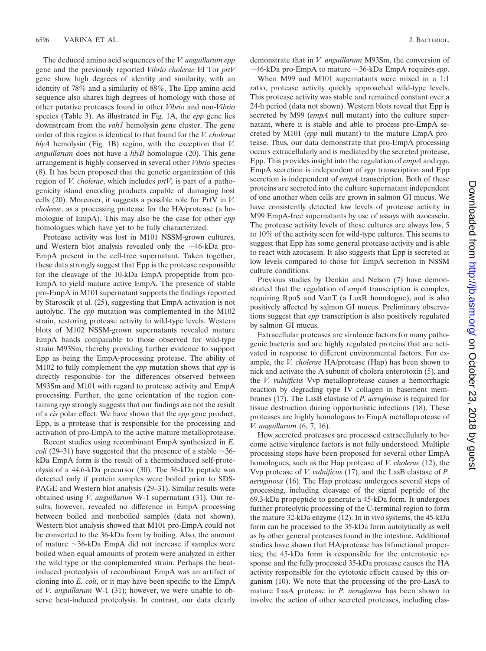The deduced amino acid sequences of the *V. anguillarum epp* gene and the previously reported *Vibrio cholerae* El Tor *prtV* gene show high degrees of identity and similarity, with an identity of 78% and a similarity of 88%. The Epp amino acid sequence also shares high degrees of homology with those of other putative proteases found in other *Vibrio* and non-*Vibrio* species (Table 3). As illustrated in Fig. 1A, the *epp* gene lies downstream from the *vah1* hemolysin gene cluster. The gene order of this region is identical to that found for the *V. cholerae hlyA* hemolysin (Fig. 1B) region, with the exception that *V. anguillarum* does not have a *hlyB* homologue (20). This gene arrangement is highly conserved in several other *Vibrio* species (8). It has been proposed that the genetic organization of this region of *V. cholerae*, which includes *prtV*, is part of a pathogenicity island encoding products capable of damaging host cells (20). Moreover, it suggests a possible role for PrtV in *V. cholerae*, as a processing protease for the HA/protease (a homologue of EmpA). This may also be the case for other *epp* homologues which have yet to be fully characterized.

Protease activity was lost in M101 NSSM-grown cultures, and Western blot analysis revealed only the  $\sim$ 46-kDa pro-EmpA present in the cell-free supernatant. Taken together, these data strongly suggest that Epp is the protease responsible for the cleavage of the 10-kDa EmpA propeptide from pro-EmpA to yield mature active EmpA. The presence of stable pro-EmpA in M101 supernatant supports the findings reported by Staroscik et al. (25), suggesting that EmpA activation is not autolytic. The *epp* mutation was complemented in the M102 strain, restoring protease activity to wild-type levels. Western blots of M102 NSSM-grown supernatants revealed mature EmpA bands comparable to those observed for wild-type strain M93Sm, thereby providing further evidence to support Epp as being the EmpA-processing protease. The ability of M102 to fully complement the *epp* mutation shows that *epp* is directly responsible for the differences observed between M93Sm and M101 with regard to protease activity and EmpA processing. Further, the gene orientation of the region containing *epp* strongly suggests that our findings are not the result of a *cis* polar effect. We have shown that the *epp* gene product, Epp, is a protease that is responsible for the processing and activation of pro-EmpA to the active mature metalloprotease.

Recent studies using recombinant EmpA synthesized in *E. coli* (29–31) have suggested that the presence of a stable  $\sim$ 36kDa EmpA form is the result of a thermoinduced self-proteolysis of a 44.6-kDa precursor (30). The 36-kDa peptide was detected only if protein samples were boiled prior to SDS-PAGE and Western blot analysis (29–31). Similar results were obtained using *V. anguillarum* W-1 supernatant (31). Our results, however, revealed no difference in EmpA processing between boiled and nonboiled samples (data not shown). Western blot analysis showed that M101 pro-EmpA could not be converted to the 36-kDa form by boiling. Also, the amount of mature -36-kDa EmpA did not increase if samples were boiled when equal amounts of protein were analyzed in either the wild type or the complemented strain. Perhaps the heatinduced proteolysis of recombinant EmpA was an artifact of cloning into *E. coli*, or it may have been specific to the EmpA of *V. anguillarum* W-1 (31); however, we were unable to observe heat-induced proteolysis. In contrast, our data clearly demonstrate that in *V. anguillarum* M93Sm, the conversion of  $\sim$ 46-kDa pro-EmpA to mature  $\sim$ 36-kDa EmpA requires *epp*.

When M99 and M101 supernatants were mixed in a 1:1 ratio, protease activity quickly approached wild-type levels. This protease activity was stable and remained constant over a 24-h period (data not shown). Western blots reveal that Epp is secreted by M99 (*empA* null mutant) into the culture supernatant, where it is stable and able to process pro-EmpA secreted by M101 (*epp* null mutant) to the mature EmpA protease. Thus, our data demonstrate that pro-EmpA processing occurs extracellularly and is mediated by the secreted protease, Epp. This provides insight into the regulation of *empA* and *epp*. EmpA secretion is independent of *epp* transcription and Epp secretion is independent of *empA* transcription. Both of these proteins are secreted into the culture supernatant independent of one another when cells are grown in salmon GI mucus. We have consistently detected low levels of protease activity in M99 EmpA-free supernatants by use of assays with azocasein. The protease activity levels of these cultures are always low, 5 to 10% of the activity seen for wild-type cultures. This seems to suggest that Epp has some general protease activity and is able to react with azocasein. It also suggests that Epp is secreted at low levels compared to those for EmpA secretion in NSSM culture conditions.

Previous studies by Denkin and Nelson (7) have demonstrated that the regulation of *empA* transcription is complex, requiring RpoS and VanT (a LuxR homologue), and is also positively affected by salmon GI mucus. Preliminary observations suggest that *epp* transcription is also positively regulated by salmon GI mucus.

Extracellular proteases are virulence factors for many pathogenic bacteria and are highly regulated proteins that are activated in response to different environmental factors. For example, the *V. cholerae* HA/protease (Hap) has been shown to nick and activate the A subunit of cholera enterotoxin (5), and the *V. vulnificus* Vvp metalloprotease causes a hemorrhagic reaction by degrading type IV collagen in basement membranes (17). The LasB elastase of *P. aeruginosa* is required for tissue destruction during opportunistic infections (18). These proteases are highly homologous to EmpA metalloprotease of *V. anguillarum* (6, 7, 16).

How secreted proteases are processed extracellularly to become active virulence factors is not fully understood. Multiple processing steps have been proposed for several other EmpA homologues, such as the Hap protease of *V. cholerae* (12), the Vvp protease of *V. vulnificus* (17), and the LasB elastase of *P. aeruginosa* (16). The Hap protease undergoes several steps of processing, including cleavage of the signal peptide of the 69.3-kDa propeptide to generate a 45-kDa form. It undergoes further proteolytic processing of the C-terminal region to form the mature 32-kDa enzyme (12). In in vivo systems, the 45-kDa form can be processed to the 35-kDa form autolytically as well as by other general proteases found in the intestine. Additional studies have shown that HA/protease has bifunctional properties; the 45-kDa form is responsible for the enterotoxic response and the fully processed 35-kDa protease causes the HA activity responsible for the cytotoxic effects caused by this organism (10). We note that the processing of the pro-LasA to mature LasA protease in *P. aeruginosa* has been shown to involve the action of other secreted proteases, including elas